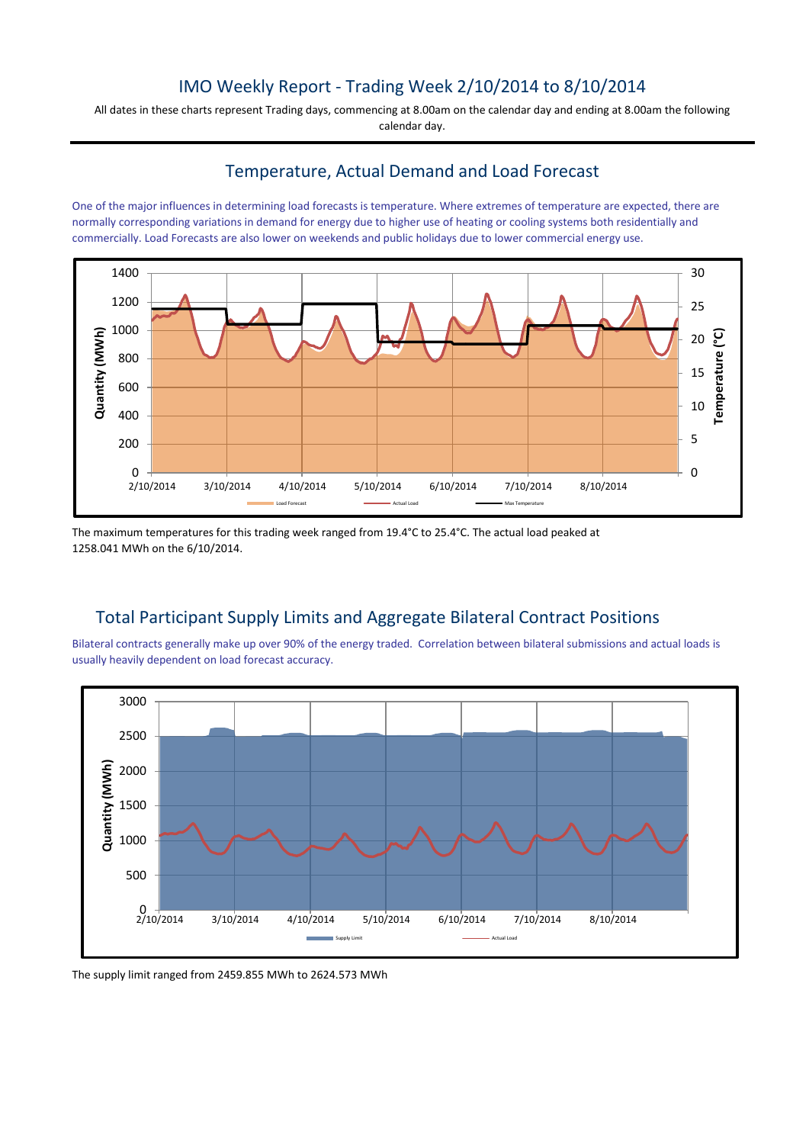## IMO Weekly Report - Trading Week 2/10/2014 to 8/10/2014

All dates in these charts represent Trading days, commencing at 8.00am on the calendar day and ending at 8.00am the following calendar day.

# Temperature, Actual Demand and Load Forecast

One of the major influences in determining load forecasts is temperature. Where extremes of temperature are expected, there are normally corresponding variations in demand for energy due to higher use of heating or cooling systems both residentially and commercially. Load Forecasts are also lower on weekends and public holidays due to lower commercial energy use.



The maximum temperatures for this trading week ranged from 19.4°C to 25.4°C. The actual load peaked at 1258.041 MWh on the 6/10/2014.

## Total Participant Supply Limits and Aggregate Bilateral Contract Positions

Bilateral contracts generally make up over 90% of the energy traded. Correlation between bilateral submissions and actual loads is usually heavily dependent on load forecast accuracy.



The supply limit ranged from 2459.855 MWh to 2624.573 MWh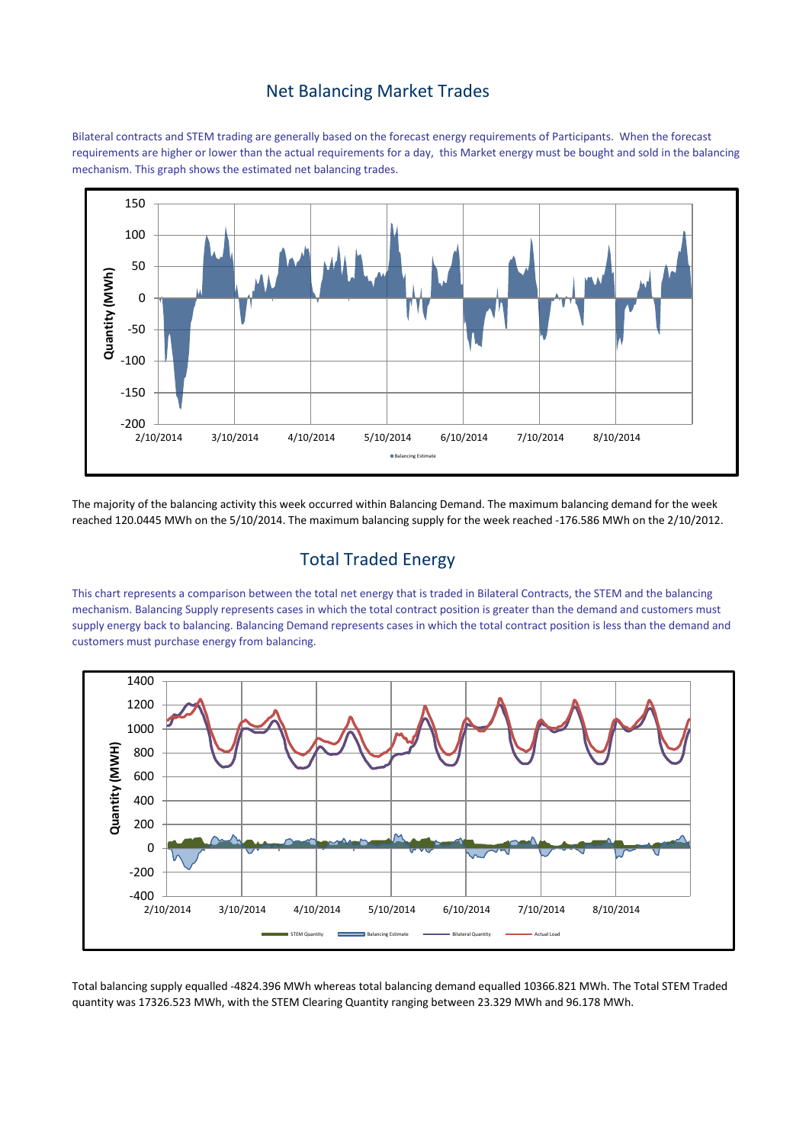#### Net Balancing Market Trades

Bilateral contracts and STEM trading are generally based on the forecast energy requirements of Participants. When the forecast requirements are higher or lower than the actual requirements for a day, this Market energy must be bought and sold in the balancing mechanism. This graph shows the estimated net balancing trades.



The majority of the balancing activity this week occurred within Balancing Demand. The maximum balancing demand for the week reached 120.0445 MWh on the 5/10/2014. The maximum balancing supply for the week reached -176.586 MWh on the 2/10/2012.

## Total Traded Energy

This chart represents a comparison between the total net energy that is traded in Bilateral Contracts, the STEM and the balancing mechanism. Balancing Supply represents cases in which the total contract position is greater than the demand and customers must supply energy back to balancing. Balancing Demand represents cases in which the total contract position is less than the demand and customers must purchase energy from balancing.



Total balancing supply equalled -4824.396 MWh whereas total balancing demand equalled 10366.821 MWh. The Total STEM Traded quantity was 17326.523 MWh, with the STEM Clearing Quantity ranging between 23.329 MWh and 96.178 MWh.